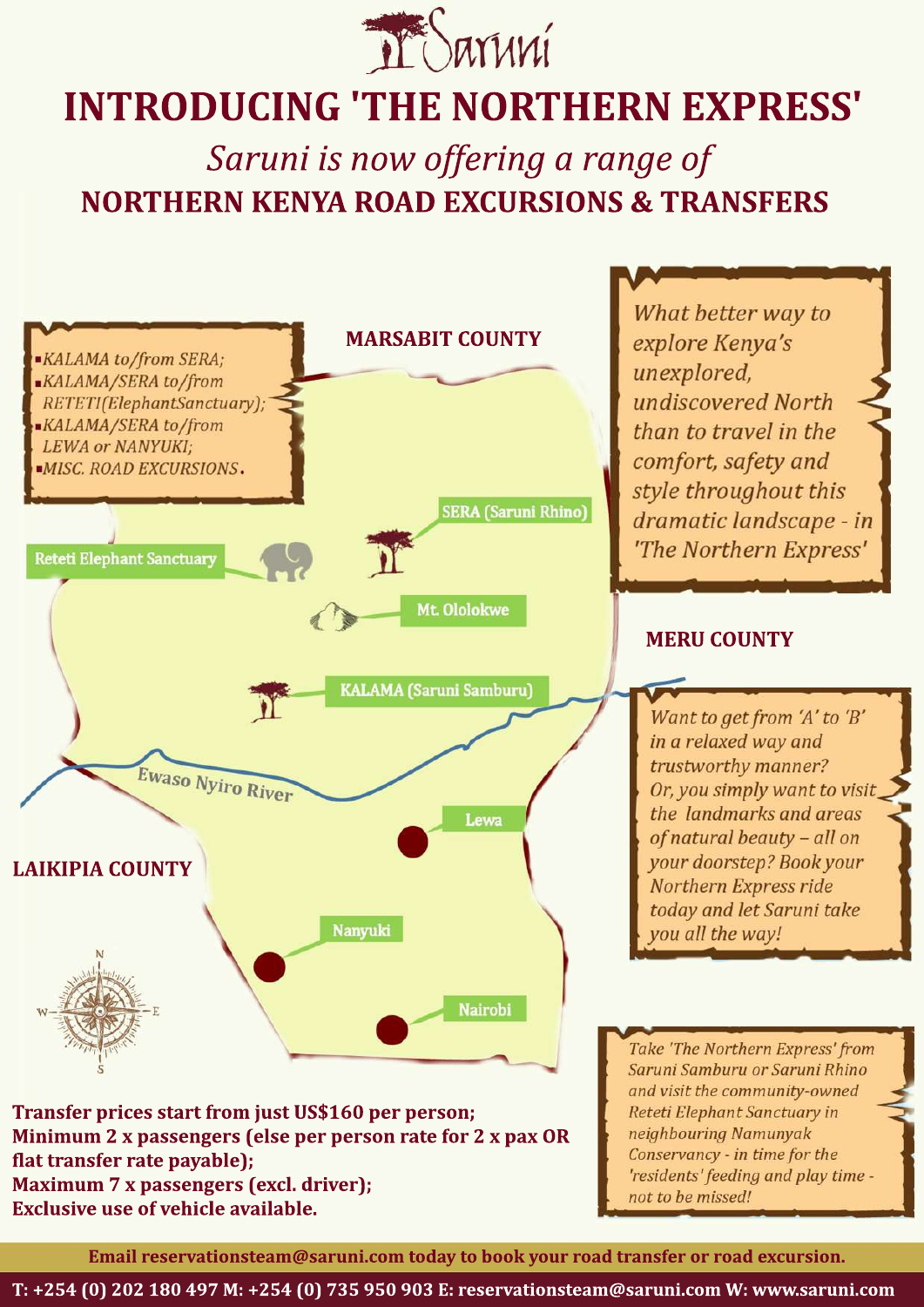

## **INTRODUCING 'THE NORTHERN EXPRESS'**

**Saruni** is now offering a range of **NORTHERN KENYA ROAD EXCURSIONS & TRANSFERS** 



**Exclusive use of vehicle available.** 

Email reservationsteam@saruni.com today to book your road transfer or road excursion.